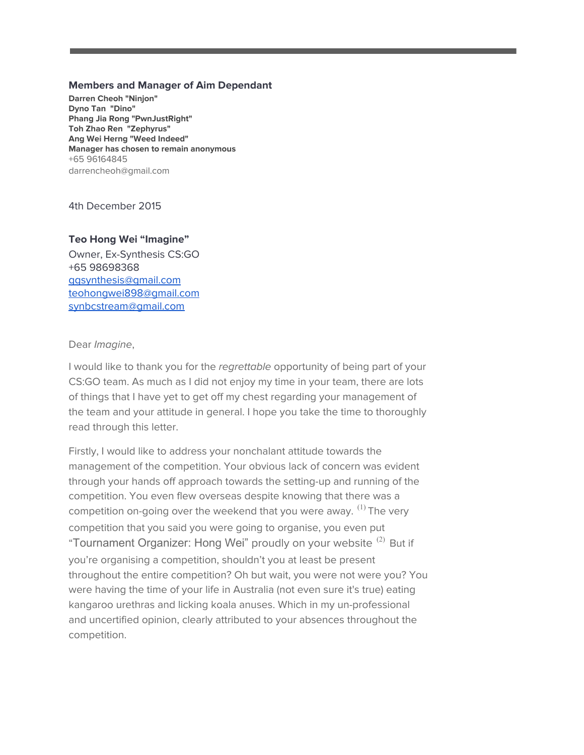## **Members and Manager of Aim Dependant**

**Darren Cheoh "Ninjon" Dyno Tan "Dino" Phang Jia Rong "PwnJustRight" Toh Zhao Ren "Zephyrus" Ang Wei Herng"Weed Indeed" Manager has chosen to remain anonymous** +65 96164845 darrencheoh@gmail.com

4th December 2015

## **Teo Hong Wei "Imagine"**

Owner, Ex-Synthesis CS:GO +65 98698368 [ggsynthesis@gmail.com](mailto:ggsynthesis@gmail.com) [teohongwei898@gmail.com](mailto:teohongwei898@gmail.com) [synbcstream@gmail.com](mailto:synbcstream@gmail.com)

Dear Imagine,

I would like to thank you for the regrettable opportunity of being part of your CS:GO team. As much as I did not enjoy my time in your team, there are lots of things that I have yet to get off my chest regarding your management of the team and your attitude in general. I hope you take the time to thoroughly read through this letter.

Firstly, I would like to address your nonchalant attitude towards the management of the competition. Your obvious lack of concern was evident through your hands off approach towards the setting-up and running of the competition. You even flew overseas despite knowing that there was a competition on-going over the weekend that you were away.  $^{(1)}$  The very competition that you said you were going to organise, you even put "Tournament Organizer: Hong Wei" proudly on your website <sup>(2)</sup> But if you're organising a competition, shouldn't you at least be present throughout the entire competition? Oh but wait, you were not were you? You were having the time of your life in Australia (not even sure it's true) eating kangaroo urethras and licking koala anuses. Which in my un-professional and uncertified opinion, clearly attributed to your absences throughout the competition.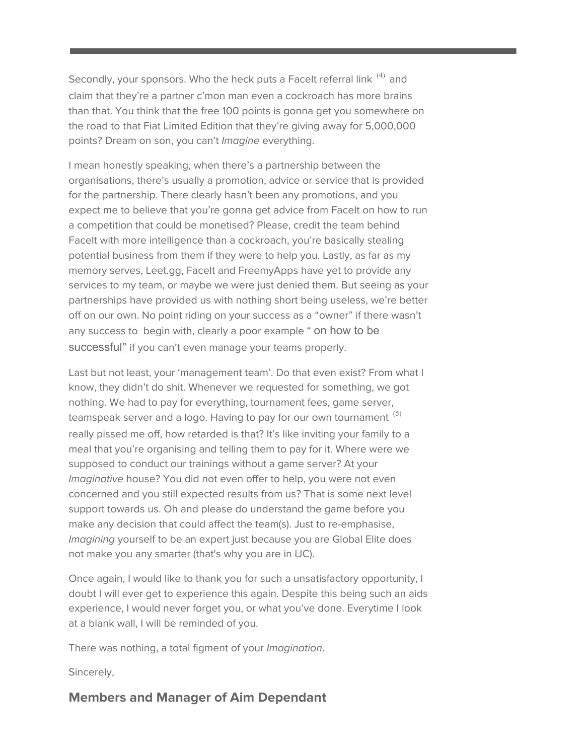Secondly, your sponsors. Who the heck puts a Facelt referral link  $^{(4)}$  and claim that they're a partner c'mon man even a cockroach has more brains than that. You think that the free 100 points is gonna get you somewhere on the road to that Fiat Limited Edition that they're giving away for 5,000,000 points? Dream on son, you can't *Imagine* everything.

I mean honestly speaking, when there's a partnership between the organisations, there's usually a promotion, advice or service that is provided for the partnership. There clearly hasn't been any promotions, and you expect me to believe that you're gonna get advice from FaceIt on how to run a competition that could be monetised? Please, credit the team behind FaceIt with more intelligence than a cockroach, you're basically stealing potential business from them if they were to help you. Lastly, as far as my memory serves, Leet.gg, Facelt and FreemyApps have yet to provide any services to my team, or maybe we were just denied them. But seeing as your partnerships have provided us with nothing short being useless, we're better off on our own. No point riding on your success as a "owner" if there wasn't any success to begin with, clearly a poor example " on how to be successful" if you can't even manage your teams properly.

Last but not least, your 'management team'. Do that even exist? From what I know, they didn't do shit. Whenever we requested for something, we got nothing. We had to pay for everything, tournament fees, game server, teamspeak server and a logo. Having to pay for our own tournament  $^{(5)}$ really pissed me off, how retarded is that? It's like inviting your family to a meal that you're organising and telling them to pay for it. Where were we supposed to conduct our trainings without a game server? At your Imaginative house? You did not even offer to help, you were not even concerned and you still expected results from us? That is some next level support towards us. Oh and please do understand the game before you make any decision that could affect the team(s). Just to re-emphasise, Imagining yourself to be an expert just because you are Global Elite does not make you any smarter (that's why you are in IJC).

Once again, I would like to thank you for such a unsatisfactory opportunity, I doubt I will ever get to experience this again. Despite this being such an aids experience, I would never forget you, or what you've done. Everytime I look at a blank wall, I will be reminded of you.

There was nothing, a total figment of your Imagination.

Sincerely,

# **Members and Manager of Aim Dependant**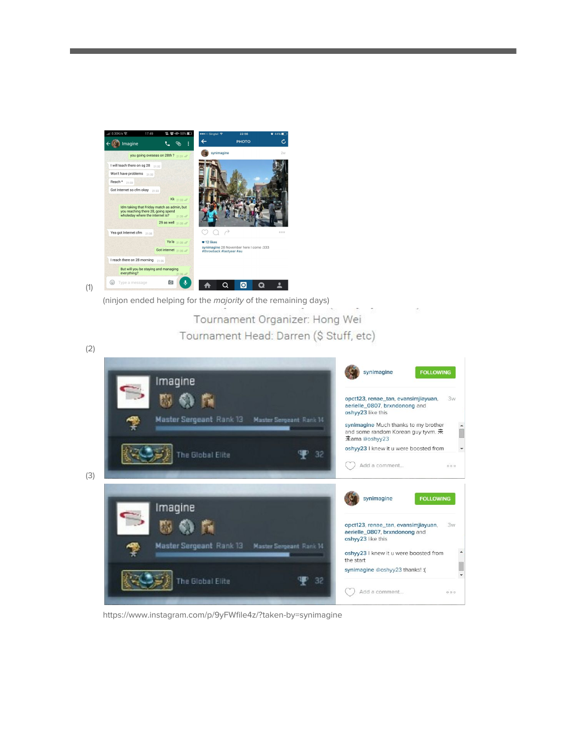

(ninjon ended helping for the majority of the remaining days)

Tournament Organizer: Hong Wei Tournament Head: Darren (\$ Stuff, etc)



https://www.instagram.com/p/9yFWfile4z/?taken-by=synimagine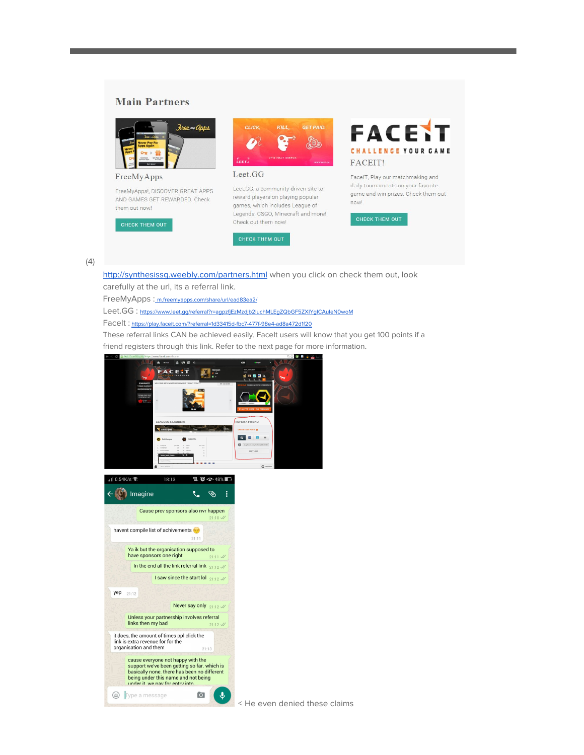#### **Main Partners**



FreeMyApps

FreeMyApps!, DISCOVER GREAT APPS AND GAMES GET REWARDED. Check them out now!





#### Leet.GG

Leet.GG, a community driven site to reward players on playing popular games, which includes League of Legends, CSGO, Minecraft and more! Check out them now!





FaceIT, Play our matchmaking and daily tournaments on your favorite game and win prizes. Check them out now!

#### (4)

<http://synthesissg.weebly.com/partners.html> when you click on check them out, look carefully at the url, its a referral link.

FreeMyApps [:](http://m.freemyapps.com/share/url/ead83ea2/) [m.freemyapps.com/share/url/ead83ea2/](http://m.freemyapps.com/share/url/ead83ea2/)

Leet.GG: <https://www.leet.gg/referral?r=agpzfjEzMzdjb2luchMLEgZQbGF5ZXIYgICAuIeN0woM>

FaceIt : <https://play.faceit.com/?referral=1d33415d-fbc7-477f-98e4-ad8a472d1f20>

These referral links CAN be achieved easily, Facelt users will know that you get 100 points if a friend registers through this link. Refer to the next page for more information.





< He even denied these claims